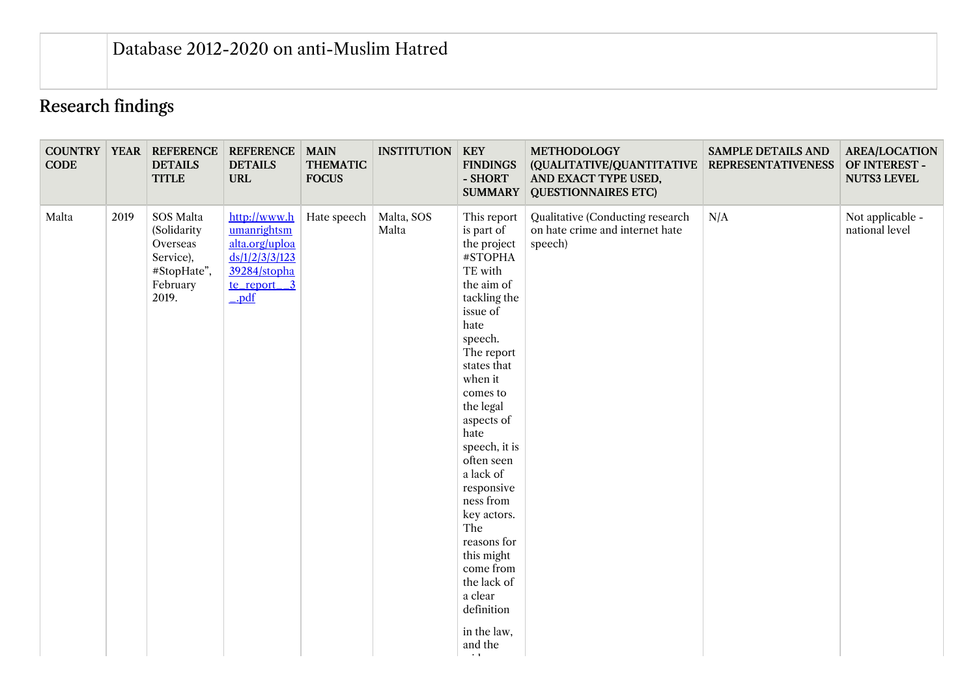## Research findings

| <b>CODE</b> |      | <b>COUNTRY   YEAR   REFERENCE</b><br><b>DETAILS</b><br><b>TITLE</b>                   | <b>REFERENCE   MAIN</b><br><b>DETAILS</b><br><b>URL</b>                                                                   | <b>THEMATIC</b><br><b>FOCUS</b> | <b>INSTITUTION</b>  | <b>KEY</b><br><b>FINDINGS</b><br>- SHORT<br><b>SUMMARY</b>                                                                                                                                                                                                                                                                                                                                                                                   | <b>METHODOLOGY</b><br>(QUALITATIVE/QUANTITATIVE<br>AND EXACT TYPE USED,<br><b>QUESTIONNAIRES ETC)</b> | <b>SAMPLE DETAILS AND</b><br><b>REPRESENTATIVENESS</b> | <b>AREA/LOCATION</b><br>OF INTEREST -<br><b>NUTS3 LEVEL</b> |
|-------------|------|---------------------------------------------------------------------------------------|---------------------------------------------------------------------------------------------------------------------------|---------------------------------|---------------------|----------------------------------------------------------------------------------------------------------------------------------------------------------------------------------------------------------------------------------------------------------------------------------------------------------------------------------------------------------------------------------------------------------------------------------------------|-------------------------------------------------------------------------------------------------------|--------------------------------------------------------|-------------------------------------------------------------|
| Malta       | 2019 | SOS Malta<br>(Solidarity<br>Overseas<br>Service),<br>#StopHate",<br>February<br>2019. | http://www.h<br>umanrightsm<br>alta.org/uploa<br>ds/1/2/3/3/123<br>39284/stopha<br>te_report_3<br>$\rightharpoonup$ $pdf$ | Hate speech                     | Malta, SOS<br>Malta | This report<br>is part of<br>the project<br>#STOPHA<br>TE with<br>the aim of<br>tackling the<br>issue of<br>hate<br>speech.<br>The report<br>states that<br>when it<br>comes to<br>the legal<br>aspects of<br>hate<br>speech, it is<br>often seen<br>a lack of<br>responsive<br>ness from<br>key actors.<br>The<br>reasons for<br>this might<br>come from<br>the lack of<br>a clear<br>definition<br>in the law,<br>and the<br>$\sim$ $\sim$ | Qualitative (Conducting research<br>on hate crime and internet hate<br>speech)                        | N/A                                                    | Not applicable -<br>national level                          |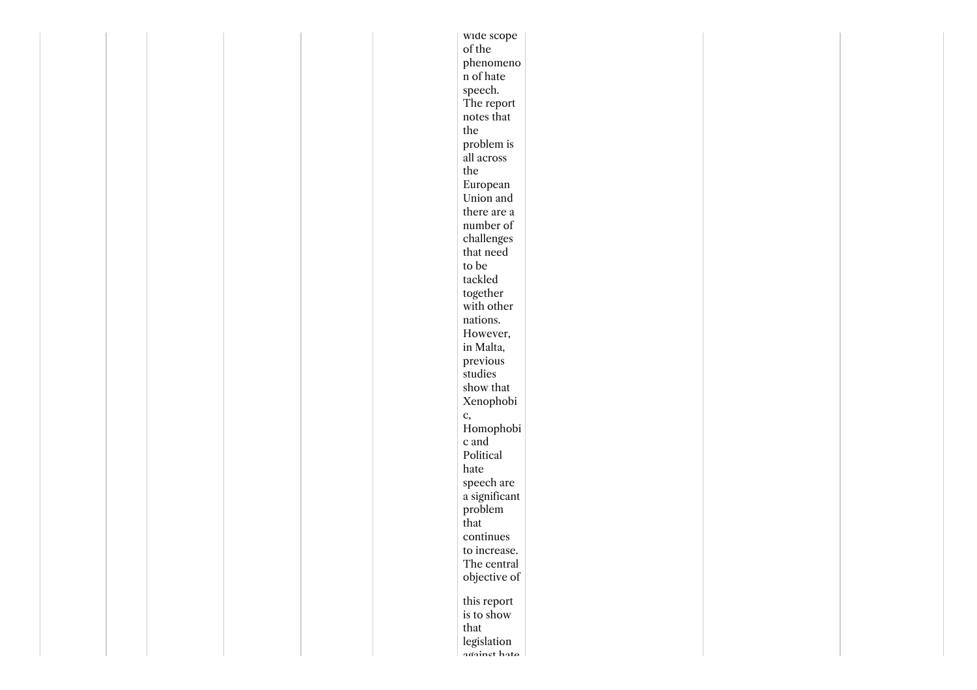| of the<br>phenomeno<br>n of hate<br>speech.<br>The report<br>notes that<br>$_{\rm the}$<br>problem is<br>all across<br>the<br>European<br>Union and<br>there are a<br>number of<br>$\,$ challenges<br>that need<br>to be<br>tackled<br>together<br>with other<br>nations.<br>However,<br>in Malta,<br>previous<br>studies<br>show that<br>Xenophobi<br>c,<br>Homophobi<br>c and<br>Political<br>hate<br>speech are<br>a significant<br>problem<br>that<br>continues<br>to increase.<br>The central<br>objective of<br>this report<br>is to show<br>that<br>legislation<br>against hata |  |  | wide scope |  |  |
|----------------------------------------------------------------------------------------------------------------------------------------------------------------------------------------------------------------------------------------------------------------------------------------------------------------------------------------------------------------------------------------------------------------------------------------------------------------------------------------------------------------------------------------------------------------------------------------|--|--|------------|--|--|
|                                                                                                                                                                                                                                                                                                                                                                                                                                                                                                                                                                                        |  |  |            |  |  |
|                                                                                                                                                                                                                                                                                                                                                                                                                                                                                                                                                                                        |  |  |            |  |  |
|                                                                                                                                                                                                                                                                                                                                                                                                                                                                                                                                                                                        |  |  |            |  |  |
|                                                                                                                                                                                                                                                                                                                                                                                                                                                                                                                                                                                        |  |  |            |  |  |
|                                                                                                                                                                                                                                                                                                                                                                                                                                                                                                                                                                                        |  |  |            |  |  |
|                                                                                                                                                                                                                                                                                                                                                                                                                                                                                                                                                                                        |  |  |            |  |  |
|                                                                                                                                                                                                                                                                                                                                                                                                                                                                                                                                                                                        |  |  |            |  |  |
|                                                                                                                                                                                                                                                                                                                                                                                                                                                                                                                                                                                        |  |  |            |  |  |
|                                                                                                                                                                                                                                                                                                                                                                                                                                                                                                                                                                                        |  |  |            |  |  |
|                                                                                                                                                                                                                                                                                                                                                                                                                                                                                                                                                                                        |  |  |            |  |  |
|                                                                                                                                                                                                                                                                                                                                                                                                                                                                                                                                                                                        |  |  |            |  |  |
|                                                                                                                                                                                                                                                                                                                                                                                                                                                                                                                                                                                        |  |  |            |  |  |
|                                                                                                                                                                                                                                                                                                                                                                                                                                                                                                                                                                                        |  |  |            |  |  |
|                                                                                                                                                                                                                                                                                                                                                                                                                                                                                                                                                                                        |  |  |            |  |  |
|                                                                                                                                                                                                                                                                                                                                                                                                                                                                                                                                                                                        |  |  |            |  |  |
|                                                                                                                                                                                                                                                                                                                                                                                                                                                                                                                                                                                        |  |  |            |  |  |
|                                                                                                                                                                                                                                                                                                                                                                                                                                                                                                                                                                                        |  |  |            |  |  |
|                                                                                                                                                                                                                                                                                                                                                                                                                                                                                                                                                                                        |  |  |            |  |  |
|                                                                                                                                                                                                                                                                                                                                                                                                                                                                                                                                                                                        |  |  |            |  |  |
|                                                                                                                                                                                                                                                                                                                                                                                                                                                                                                                                                                                        |  |  |            |  |  |
|                                                                                                                                                                                                                                                                                                                                                                                                                                                                                                                                                                                        |  |  |            |  |  |
|                                                                                                                                                                                                                                                                                                                                                                                                                                                                                                                                                                                        |  |  |            |  |  |
|                                                                                                                                                                                                                                                                                                                                                                                                                                                                                                                                                                                        |  |  |            |  |  |
|                                                                                                                                                                                                                                                                                                                                                                                                                                                                                                                                                                                        |  |  |            |  |  |
|                                                                                                                                                                                                                                                                                                                                                                                                                                                                                                                                                                                        |  |  |            |  |  |
|                                                                                                                                                                                                                                                                                                                                                                                                                                                                                                                                                                                        |  |  |            |  |  |
|                                                                                                                                                                                                                                                                                                                                                                                                                                                                                                                                                                                        |  |  |            |  |  |
|                                                                                                                                                                                                                                                                                                                                                                                                                                                                                                                                                                                        |  |  |            |  |  |
|                                                                                                                                                                                                                                                                                                                                                                                                                                                                                                                                                                                        |  |  |            |  |  |
|                                                                                                                                                                                                                                                                                                                                                                                                                                                                                                                                                                                        |  |  |            |  |  |
|                                                                                                                                                                                                                                                                                                                                                                                                                                                                                                                                                                                        |  |  |            |  |  |
|                                                                                                                                                                                                                                                                                                                                                                                                                                                                                                                                                                                        |  |  |            |  |  |
|                                                                                                                                                                                                                                                                                                                                                                                                                                                                                                                                                                                        |  |  |            |  |  |
|                                                                                                                                                                                                                                                                                                                                                                                                                                                                                                                                                                                        |  |  |            |  |  |
|                                                                                                                                                                                                                                                                                                                                                                                                                                                                                                                                                                                        |  |  |            |  |  |
|                                                                                                                                                                                                                                                                                                                                                                                                                                                                                                                                                                                        |  |  |            |  |  |
|                                                                                                                                                                                                                                                                                                                                                                                                                                                                                                                                                                                        |  |  |            |  |  |
|                                                                                                                                                                                                                                                                                                                                                                                                                                                                                                                                                                                        |  |  |            |  |  |
|                                                                                                                                                                                                                                                                                                                                                                                                                                                                                                                                                                                        |  |  |            |  |  |
|                                                                                                                                                                                                                                                                                                                                                                                                                                                                                                                                                                                        |  |  |            |  |  |
|                                                                                                                                                                                                                                                                                                                                                                                                                                                                                                                                                                                        |  |  |            |  |  |
|                                                                                                                                                                                                                                                                                                                                                                                                                                                                                                                                                                                        |  |  |            |  |  |
|                                                                                                                                                                                                                                                                                                                                                                                                                                                                                                                                                                                        |  |  |            |  |  |
|                                                                                                                                                                                                                                                                                                                                                                                                                                                                                                                                                                                        |  |  |            |  |  |
|                                                                                                                                                                                                                                                                                                                                                                                                                                                                                                                                                                                        |  |  |            |  |  |
|                                                                                                                                                                                                                                                                                                                                                                                                                                                                                                                                                                                        |  |  |            |  |  |